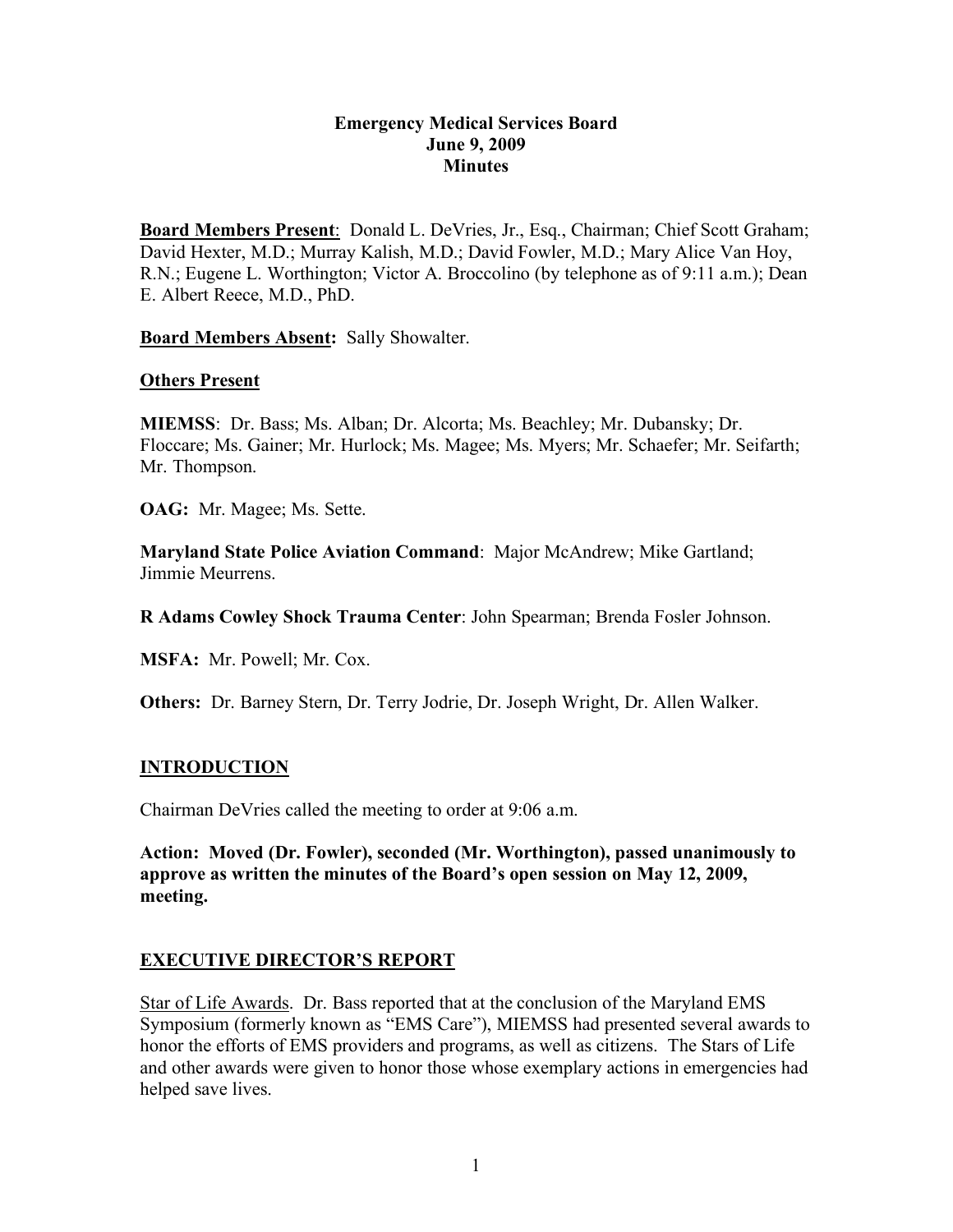### **Emergency Medical Services Board June 9, 2009 Minutes**

**Board Members Present**: Donald L. DeVries, Jr., Esq., Chairman; Chief Scott Graham; David Hexter, M.D.; Murray Kalish, M.D.; David Fowler, M.D.; Mary Alice Van Hoy, R.N.; Eugene L. Worthington; Victor A. Broccolino (by telephone as of 9:11 a.m.); Dean E. Albert Reece, M.D., PhD.

**Board Members Absent:** Sally Showalter.

### **Others Present**

**MIEMSS**: Dr. Bass; Ms. Alban; Dr. Alcorta; Ms. Beachley; Mr. Dubansky; Dr. Floccare; Ms. Gainer; Mr. Hurlock; Ms. Magee; Ms. Myers; Mr. Schaefer; Mr. Seifarth; Mr. Thompson.

**OAG:** Mr. Magee; Ms. Sette.

**Maryland State Police Aviation Command**: Major McAndrew; Mike Gartland; Jimmie Meurrens.

**R Adams Cowley Shock Trauma Center**: John Spearman; Brenda Fosler Johnson.

**MSFA:** Mr. Powell; Mr. Cox.

**Others:** Dr. Barney Stern, Dr. Terry Jodrie, Dr. Joseph Wright, Dr. Allen Walker.

## **INTRODUCTION**

Chairman DeVries called the meeting to order at 9:06 a.m.

**Action: Moved (Dr. Fowler), seconded (Mr. Worthington), passed unanimously to approve as written the minutes of the Board's open session on May 12, 2009, meeting.**

## **EXECUTIVE DIRECTOR'S REPORT**

Star of Life Awards. Dr. Bass reported that at the conclusion of the Maryland EMS Symposium (formerly known as "EMS Care"), MIEMSS had presented several awards to honor the efforts of EMS providers and programs, as well as citizens. The Stars of Life and other awards were given to honor those whose exemplary actions in emergencies had helped save lives.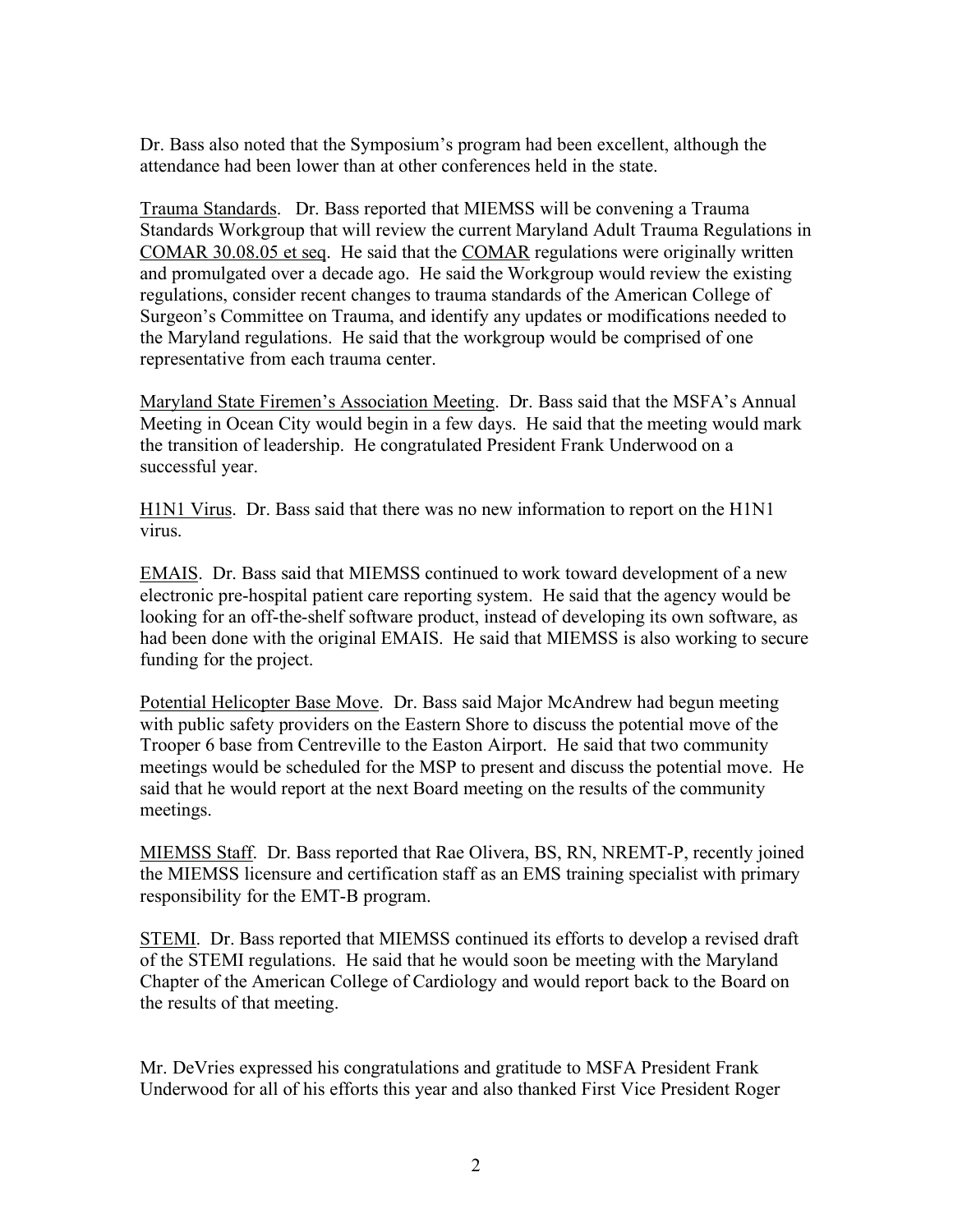Dr. Bass also noted that the Symposium's program had been excellent, although the attendance had been lower than at other conferences held in the state.

Trauma Standards. Dr. Bass reported that MIEMSS will be convening a Trauma Standards Workgroup that will review the current Maryland Adult Trauma Regulations in COMAR 30.08.05 et seq. He said that the COMAR regulations were originally written and promulgated over a decade ago. He said the Workgroup would review the existing regulations, consider recent changes to trauma standards of the American College of Surgeon's Committee on Trauma, and identify any updates or modifications needed to the Maryland regulations. He said that the workgroup would be comprised of one representative from each trauma center.

Maryland State Firemen's Association Meeting. Dr. Bass said that the MSFA's Annual Meeting in Ocean City would begin in a few days. He said that the meeting would mark the transition of leadership. He congratulated President Frank Underwood on a successful year.

H1N1 Virus. Dr. Bass said that there was no new information to report on the H1N1 virus.

EMAIS. Dr. Bass said that MIEMSS continued to work toward development of a new electronic pre-hospital patient care reporting system. He said that the agency would be looking for an off-the-shelf software product, instead of developing its own software, as had been done with the original EMAIS. He said that MIEMSS is also working to secure funding for the project.

Potential Helicopter Base Move. Dr. Bass said Major McAndrew had begun meeting with public safety providers on the Eastern Shore to discuss the potential move of the Trooper 6 base from Centreville to the Easton Airport. He said that two community meetings would be scheduled for the MSP to present and discuss the potential move. He said that he would report at the next Board meeting on the results of the community meetings.

MIEMSS Staff. Dr. Bass reported that Rae Olivera, BS, RN, NREMT-P, recently joined the MIEMSS licensure and certification staff as an EMS training specialist with primary responsibility for the EMT-B program.

STEMI. Dr. Bass reported that MIEMSS continued its efforts to develop a revised draft of the STEMI regulations. He said that he would soon be meeting with the Maryland Chapter of the American College of Cardiology and would report back to the Board on the results of that meeting.

Mr. DeVries expressed his congratulations and gratitude to MSFA President Frank Underwood for all of his efforts this year and also thanked First Vice President Roger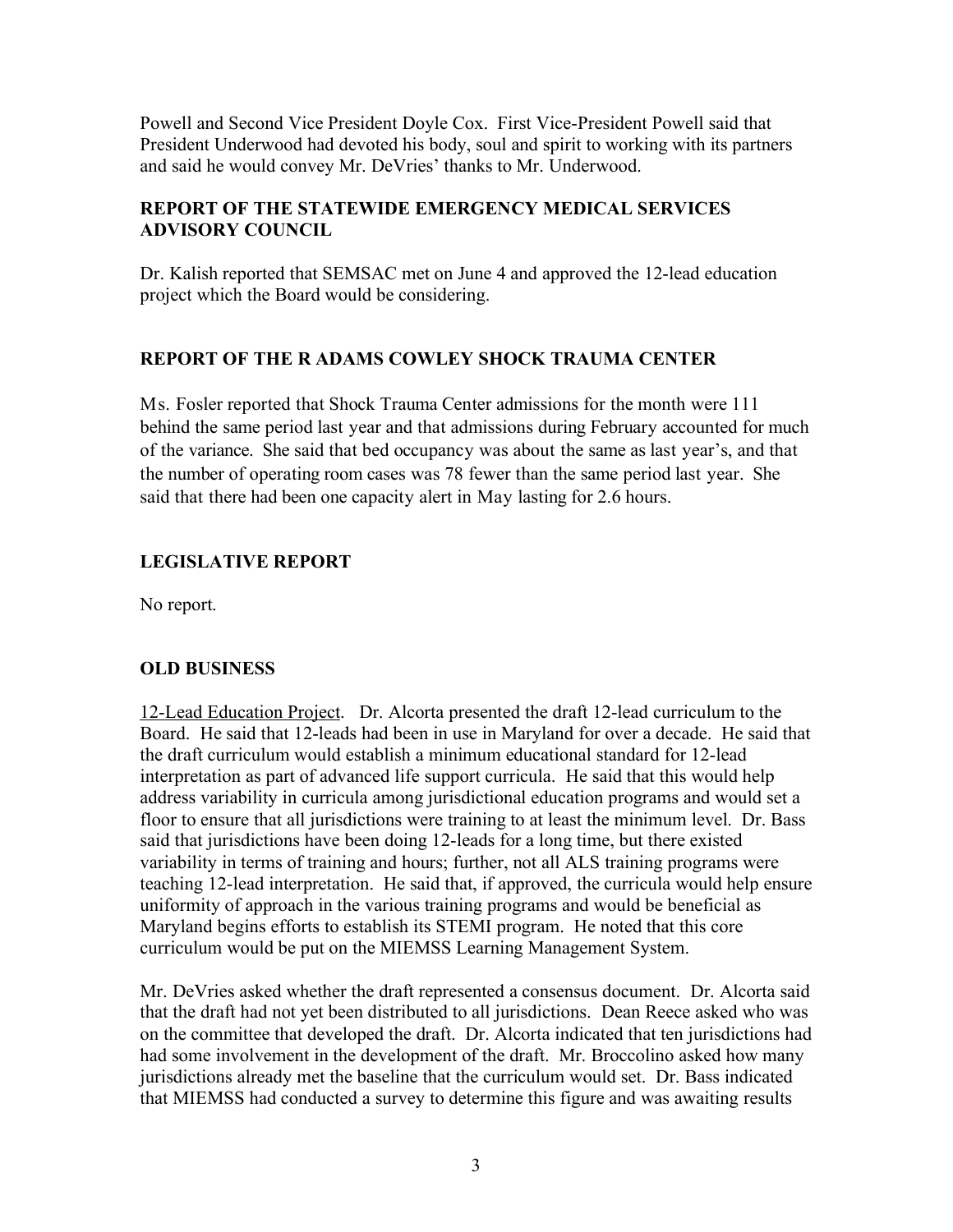Powell and Second Vice President Doyle Cox. First Vice-President Powell said that President Underwood had devoted his body, soul and spirit to working with its partners and said he would convey Mr. DeVries' thanks to Mr. Underwood.

## **REPORT OF THE STATEWIDE EMERGENCY MEDICAL SERVICES ADVISORY COUNCIL**

Dr. Kalish reported that SEMSAC met on June 4 and approved the 12-lead education project which the Board would be considering.

# **REPORT OF THE R ADAMS COWLEY SHOCK TRAUMA CENTER**

Ms. Fosler reported that Shock Trauma Center admissions for the month were 111 behind the same period last year and that admissions during February accounted for much of the variance. She said that bed occupancy was about the same as last year's, and that the number of operating room cases was 78 fewer than the same period last year. She said that there had been one capacity alert in May lasting for 2.6 hours.

# **LEGISLATIVE REPORT**

No report.

## **OLD BUSINESS**

12-Lead Education Project. Dr. Alcorta presented the draft 12-lead curriculum to the Board. He said that 12-leads had been in use in Maryland for over a decade. He said that the draft curriculum would establish a minimum educational standard for 12-lead interpretation as part of advanced life support curricula. He said that this would help address variability in curricula among jurisdictional education programs and would set a floor to ensure that all jurisdictions were training to at least the minimum level. Dr. Bass said that jurisdictions have been doing 12-leads for a long time, but there existed variability in terms of training and hours; further, not all ALS training programs were teaching 12-lead interpretation. He said that, if approved, the curricula would help ensure uniformity of approach in the various training programs and would be beneficial as Maryland begins efforts to establish its STEMI program. He noted that this core curriculum would be put on the MIEMSS Learning Management System.

Mr. DeVries asked whether the draft represented a consensus document. Dr. Alcorta said that the draft had not yet been distributed to all jurisdictions. Dean Reece asked who was on the committee that developed the draft. Dr. Alcorta indicated that ten jurisdictions had had some involvement in the development of the draft. Mr. Broccolino asked how many jurisdictions already met the baseline that the curriculum would set. Dr. Bass indicated that MIEMSS had conducted a survey to determine this figure and was awaiting results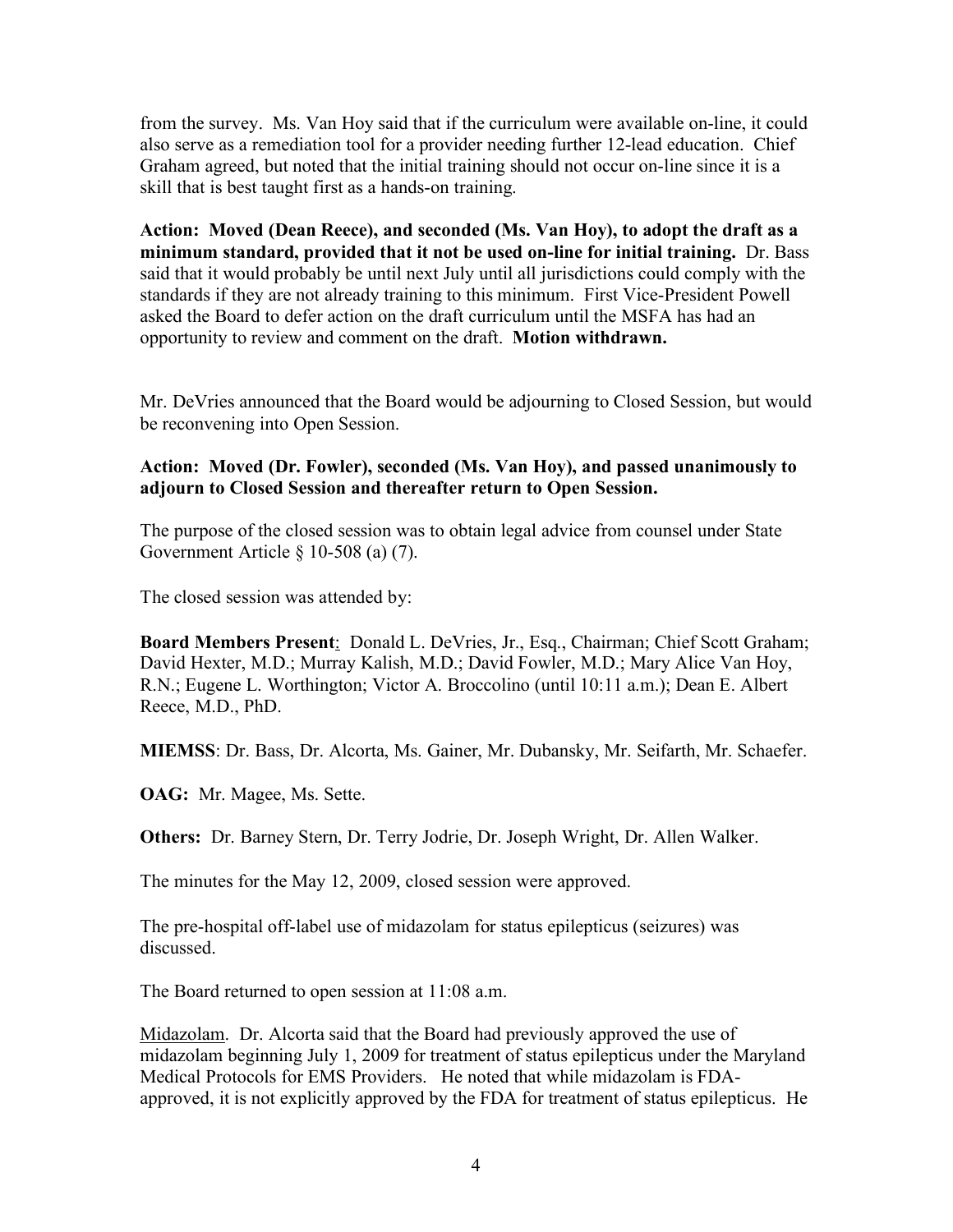from the survey. Ms. Van Hoy said that if the curriculum were available on-line, it could also serve as a remediation tool for a provider needing further 12-lead education. Chief Graham agreed, but noted that the initial training should not occur on-line since it is a skill that is best taught first as a hands-on training.

**Action: Moved (Dean Reece), and seconded (Ms. Van Hoy), to adopt the draft as a minimum standard, provided that it not be used on-line for initial training.** Dr. Bass said that it would probably be until next July until all jurisdictions could comply with the standards if they are not already training to this minimum. First Vice-President Powell asked the Board to defer action on the draft curriculum until the MSFA has had an opportunity to review and comment on the draft. **Motion withdrawn.**

Mr. DeVries announced that the Board would be adjourning to Closed Session, but would be reconvening into Open Session.

### **Action: Moved (Dr. Fowler), seconded (Ms. Van Hoy), and passed unanimously to adjourn to Closed Session and thereafter return to Open Session.**

The purpose of the closed session was to obtain legal advice from counsel under State Government Article § 10-508 (a) (7).

The closed session was attended by:

**Board Members Present**: Donald L. DeVries, Jr., Esq., Chairman; Chief Scott Graham; David Hexter, M.D.; Murray Kalish, M.D.; David Fowler, M.D.; Mary Alice Van Hoy, R.N.; Eugene L. Worthington; Victor A. Broccolino (until 10:11 a.m.); Dean E. Albert Reece, M.D., PhD.

**MIEMSS**: Dr. Bass, Dr. Alcorta, Ms. Gainer, Mr. Dubansky, Mr. Seifarth, Mr. Schaefer.

**OAG:** Mr. Magee, Ms. Sette.

**Others:** Dr. Barney Stern, Dr. Terry Jodrie, Dr. Joseph Wright, Dr. Allen Walker.

The minutes for the May 12, 2009, closed session were approved.

The pre-hospital off-label use of midazolam for status epilepticus (seizures) was discussed.

The Board returned to open session at 11:08 a.m.

Midazolam. Dr. Alcorta said that the Board had previously approved the use of midazolam beginning July 1, 2009 for treatment of status epilepticus under the Maryland Medical Protocols for EMS Providers. He noted that while midazolam is FDAapproved, it is not explicitly approved by the FDA for treatment of status epilepticus. He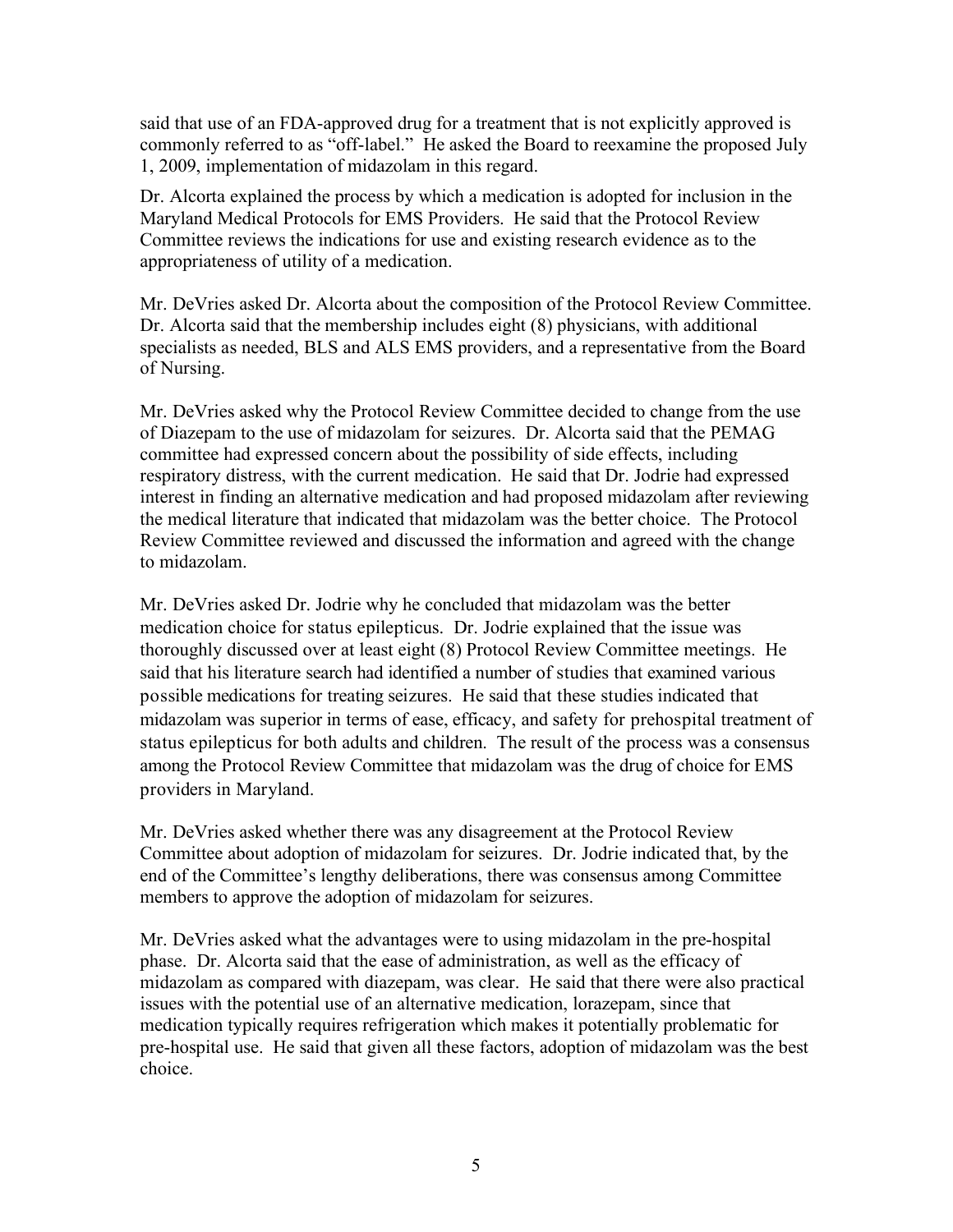said that use of an FDA-approved drug for a treatment that is not explicitly approved is commonly referred to as "off-label." He asked the Board to reexamine the proposed July 1, 2009, implementation of midazolam in this regard.

Dr. Alcorta explained the process by which a medication is adopted for inclusion in the Maryland Medical Protocols for EMS Providers. He said that the Protocol Review Committee reviews the indications for use and existing research evidence as to the appropriateness of utility of a medication.

Mr. DeVries asked Dr. Alcorta about the composition of the Protocol Review Committee. Dr. Alcorta said that the membership includes eight (8) physicians, with additional specialists as needed, BLS and ALS EMS providers, and a representative from the Board of Nursing.

Mr. DeVries asked why the Protocol Review Committee decided to change from the use of Diazepam to the use of midazolam for seizures. Dr. Alcorta said that the PEMAG committee had expressed concern about the possibility of side effects, including respiratory distress, with the current medication. He said that Dr. Jodrie had expressed interest in finding an alternative medication and had proposed midazolam after reviewing the medical literature that indicated that midazolam was the better choice. The Protocol Review Committee reviewed and discussed the information and agreed with the change to midazolam.

Mr. DeVries asked Dr. Jodrie why he concluded that midazolam was the better medication choice for status epilepticus. Dr. Jodrie explained that the issue was thoroughly discussed over at least eight (8) Protocol Review Committee meetings. He said that his literature search had identified a number of studies that examined various possible medications for treating seizures. He said that these studies indicated that midazolam was superior in terms of ease, efficacy, and safety for prehospital treatment of status epilepticus for both adults and children. The result of the process was a consensus among the Protocol Review Committee that midazolam was the drug of choice for EMS providers in Maryland.

Mr. DeVries asked whether there was any disagreement at the Protocol Review Committee about adoption of midazolam for seizures. Dr. Jodrie indicated that, by the end of the Committee's lengthy deliberations, there was consensus among Committee members to approve the adoption of midazolam for seizures.

Mr. DeVries asked what the advantages were to using midazolam in the pre-hospital phase. Dr. Alcorta said that the ease of administration, as well as the efficacy of midazolam as compared with diazepam, was clear. He said that there were also practical issues with the potential use of an alternative medication, lorazepam, since that medication typically requires refrigeration which makes it potentially problematic for pre-hospital use. He said that given all these factors, adoption of midazolam was the best choice.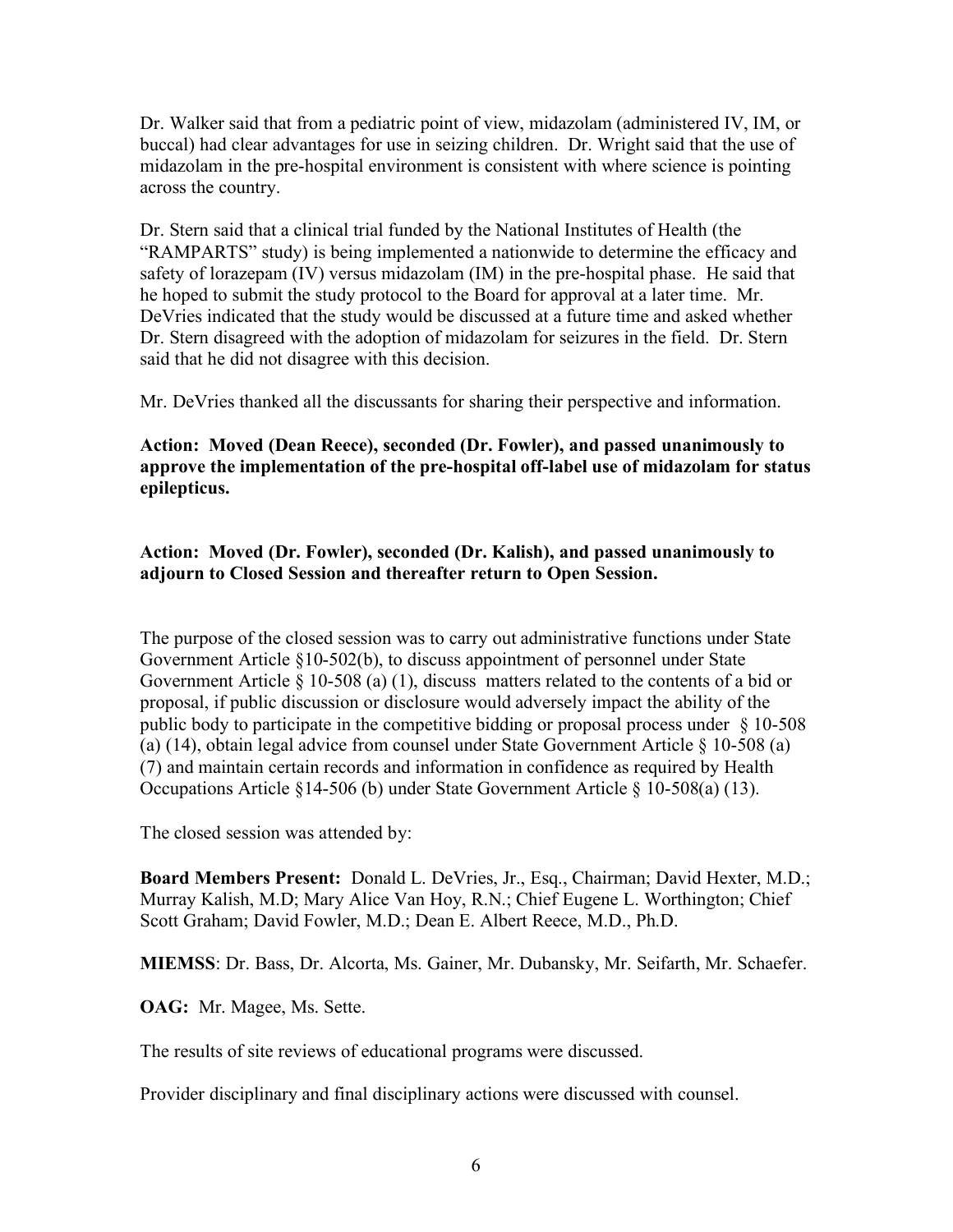Dr. Walker said that from a pediatric point of view, midazolam (administered IV, IM, or buccal) had clear advantages for use in seizing children. Dr. Wright said that the use of midazolam in the pre-hospital environment is consistent with where science is pointing across the country.

Dr. Stern said that a clinical trial funded by the National Institutes of Health (the "RAMPARTS" study) is being implemented a nationwide to determine the efficacy and safety of lorazepam (IV) versus midazolam (IM) in the pre-hospital phase. He said that he hoped to submit the study protocol to the Board for approval at a later time. Mr. DeVries indicated that the study would be discussed at a future time and asked whether Dr. Stern disagreed with the adoption of midazolam for seizures in the field. Dr. Stern said that he did not disagree with this decision.

Mr. DeVries thanked all the discussants for sharing their perspective and information.

## **Action: Moved (Dean Reece), seconded (Dr. Fowler), and passed unanimously to approve the implementation of the pre-hospital off-label use of midazolam for status epilepticus.**

## **Action: Moved (Dr. Fowler), seconded (Dr. Kalish), and passed unanimously to adjourn to Closed Session and thereafter return to Open Session.**

The purpose of the closed session was to carry out administrative functions under State Government Article §10-502(b), to discuss appointment of personnel under State Government Article § 10-508 (a) (1), discuss matters related to the contents of a bid or proposal, if public discussion or disclosure would adversely impact the ability of the public body to participate in the competitive bidding or proposal process under § 10-508 (a) (14), obtain legal advice from counsel under State Government Article § 10-508 (a) (7) and maintain certain records and information in confidence as required by Health Occupations Article §14-506 (b) under State Government Article § 10-508(a) (13).

The closed session was attended by:

**Board Members Present:** Donald L. DeVries, Jr., Esq., Chairman; David Hexter, M.D.; Murray Kalish, M.D; Mary Alice Van Hoy, R.N.; Chief Eugene L. Worthington; Chief Scott Graham; David Fowler, M.D.; Dean E. Albert Reece, M.D., Ph.D.

**MIEMSS**: Dr. Bass, Dr. Alcorta, Ms. Gainer, Mr. Dubansky, Mr. Seifarth, Mr. Schaefer.

**OAG:** Mr. Magee, Ms. Sette.

The results of site reviews of educational programs were discussed.

Provider disciplinary and final disciplinary actions were discussed with counsel.